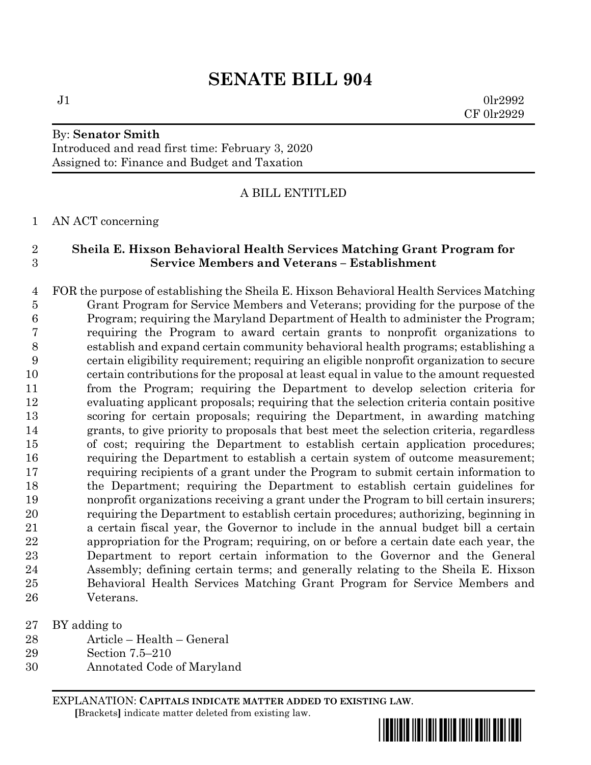# **SENATE BILL 904**

 $J1$  0lr2992 CF 0lr2929

## By: **Senator Smith** Introduced and read first time: February 3, 2020 Assigned to: Finance and Budget and Taxation

## A BILL ENTITLED

#### AN ACT concerning

## **Sheila E. Hixson Behavioral Health Services Matching Grant Program for Service Members and Veterans – Establishment**

 FOR the purpose of establishing the Sheila E. Hixson Behavioral Health Services Matching Grant Program for Service Members and Veterans; providing for the purpose of the Program; requiring the Maryland Department of Health to administer the Program; requiring the Program to award certain grants to nonprofit organizations to establish and expand certain community behavioral health programs; establishing a certain eligibility requirement; requiring an eligible nonprofit organization to secure certain contributions for the proposal at least equal in value to the amount requested from the Program; requiring the Department to develop selection criteria for evaluating applicant proposals; requiring that the selection criteria contain positive scoring for certain proposals; requiring the Department, in awarding matching grants, to give priority to proposals that best meet the selection criteria, regardless of cost; requiring the Department to establish certain application procedures; requiring the Department to establish a certain system of outcome measurement; requiring recipients of a grant under the Program to submit certain information to the Department; requiring the Department to establish certain guidelines for nonprofit organizations receiving a grant under the Program to bill certain insurers; requiring the Department to establish certain procedures; authorizing, beginning in a certain fiscal year, the Governor to include in the annual budget bill a certain appropriation for the Program; requiring, on or before a certain date each year, the Department to report certain information to the Governor and the General Assembly; defining certain terms; and generally relating to the Sheila E. Hixson Behavioral Health Services Matching Grant Program for Service Members and Veterans.

- BY adding to
- Article Health General
- Section 7.5–210
- Annotated Code of Maryland

EXPLANATION: **CAPITALS INDICATE MATTER ADDED TO EXISTING LAW**.  **[**Brackets**]** indicate matter deleted from existing law.

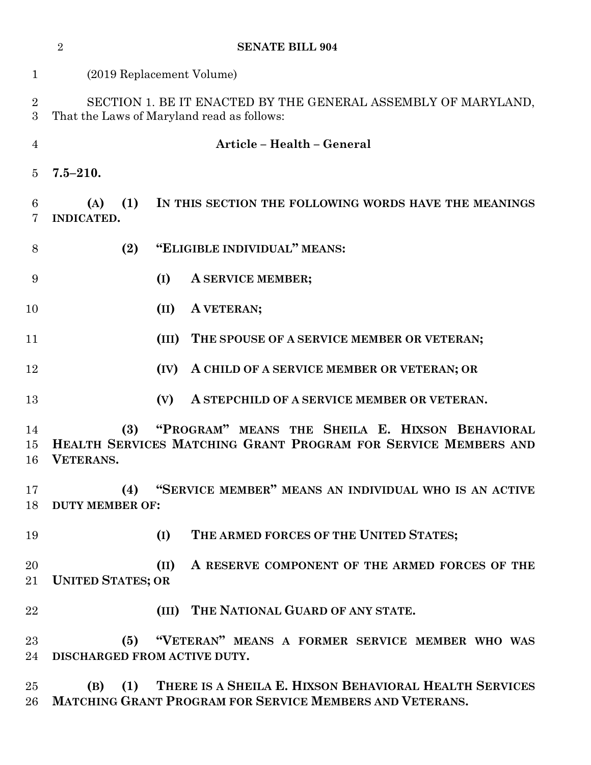|                     | $\overline{2}$<br><b>SENATE BILL 904</b>                                                                                              |
|---------------------|---------------------------------------------------------------------------------------------------------------------------------------|
| $\mathbf{1}$        | (2019 Replacement Volume)                                                                                                             |
| $\overline{2}$<br>3 | SECTION 1. BE IT ENACTED BY THE GENERAL ASSEMBLY OF MARYLAND,<br>That the Laws of Maryland read as follows:                           |
| $\overline{4}$      | Article - Health - General                                                                                                            |
| $\overline{5}$      | $7.5 - 210.$                                                                                                                          |
| 6<br>7              | (1)<br>IN THIS SECTION THE FOLLOWING WORDS HAVE THE MEANINGS<br>(A)<br><b>INDICATED.</b>                                              |
| 8                   | "ELIGIBLE INDIVIDUAL" MEANS:<br>(2)                                                                                                   |
| 9                   | (I)<br>A SERVICE MEMBER;                                                                                                              |
| 10                  | A VETERAN;<br>(II)                                                                                                                    |
| 11                  | (III)<br>THE SPOUSE OF A SERVICE MEMBER OR VETERAN;                                                                                   |
| 12                  | A CHILD OF A SERVICE MEMBER OR VETERAN; OR<br>(IV)                                                                                    |
| 13                  | (V)<br>A STEPCHILD OF A SERVICE MEMBER OR VETERAN.                                                                                    |
| 14<br>15<br>16      | "PROGRAM" MEANS THE SHEILA E. HIXSON BEHAVIORAL<br>(3)<br>HEALTH SERVICES MATCHING GRANT PROGRAM FOR SERVICE MEMBERS AND<br>VETERANS. |
| 17<br>18            | "SERVICE MEMBER" MEANS AN INDIVIDUAL WHO IS AN ACTIVE<br>(4)<br><b>DUTY MEMBER OF:</b>                                                |
| 19                  | (I)<br>THE ARMED FORCES OF THE UNITED STATES;                                                                                         |
| 20<br>21            | A RESERVE COMPONENT OF THE ARMED FORCES OF THE<br>(II)<br><b>UNITED STATES; OR</b>                                                    |
| 22                  | (III) THE NATIONAL GUARD OF ANY STATE.                                                                                                |
| 23<br>24            | "VETERAN" MEANS A FORMER SERVICE MEMBER WHO WAS<br>(5)<br>DISCHARGED FROM ACTIVE DUTY.                                                |
| $25\,$<br>$26\,$    | THERE IS A SHEILA E. HIXSON BEHAVIORAL HEALTH SERVICES<br>(1)<br>(B)<br>MATCHING GRANT PROGRAM FOR SERVICE MEMBERS AND VETERANS.      |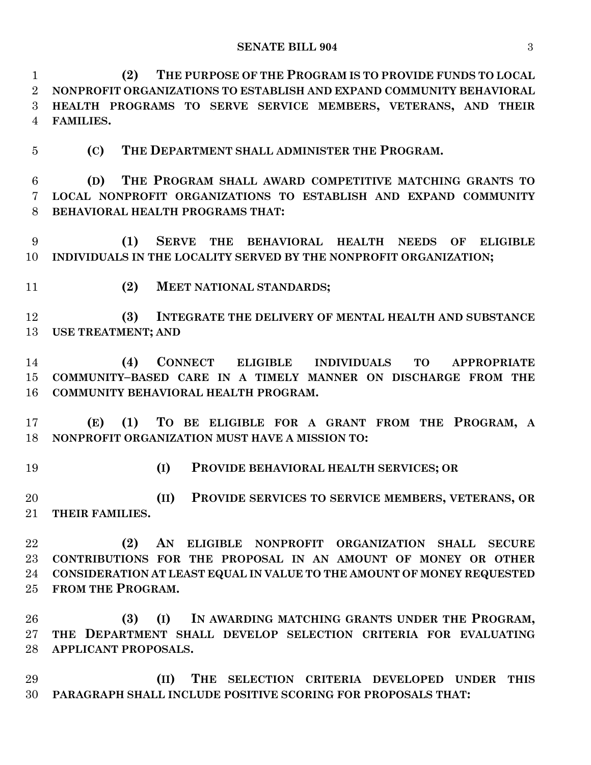**(2) THE PURPOSE OF THE PROGRAM IS TO PROVIDE FUNDS TO LOCAL NONPROFIT ORGANIZATIONS TO ESTABLISH AND EXPAND COMMUNITY BEHAVIORAL HEALTH PROGRAMS TO SERVE SERVICE MEMBERS, VETERANS, AND THEIR FAMILIES.**

**(C) THE DEPARTMENT SHALL ADMINISTER THE PROGRAM.**

 **(D) THE PROGRAM SHALL AWARD COMPETITIVE MATCHING GRANTS TO LOCAL NONPROFIT ORGANIZATIONS TO ESTABLISH AND EXPAND COMMUNITY BEHAVIORAL HEALTH PROGRAMS THAT:**

 **(1) SERVE THE BEHAVIORAL HEALTH NEEDS OF ELIGIBLE INDIVIDUALS IN THE LOCALITY SERVED BY THE NONPROFIT ORGANIZATION;**

**(2) MEET NATIONAL STANDARDS;**

 **(3) INTEGRATE THE DELIVERY OF MENTAL HEALTH AND SUBSTANCE USE TREATMENT; AND**

 **(4) CONNECT ELIGIBLE INDIVIDUALS TO APPROPRIATE COMMUNITY–BASED CARE IN A TIMELY MANNER ON DISCHARGE FROM THE COMMUNITY BEHAVIORAL HEALTH PROGRAM.**

 **(E) (1) TO BE ELIGIBLE FOR A GRANT FROM THE PROGRAM, A NONPROFIT ORGANIZATION MUST HAVE A MISSION TO:**

**(I) PROVIDE BEHAVIORAL HEALTH SERVICES; OR**

 **(II) PROVIDE SERVICES TO SERVICE MEMBERS, VETERANS, OR THEIR FAMILIES.**

 **(2) AN ELIGIBLE NONPROFIT ORGANIZATION SHALL SECURE CONTRIBUTIONS FOR THE PROPOSAL IN AN AMOUNT OF MONEY OR OTHER CONSIDERATION AT LEAST EQUAL IN VALUE TO THE AMOUNT OF MONEY REQUESTED FROM THE PROGRAM.**

 **(3) (I) IN AWARDING MATCHING GRANTS UNDER THE PROGRAM, THE DEPARTMENT SHALL DEVELOP SELECTION CRITERIA FOR EVALUATING APPLICANT PROPOSALS.**

 **(II) THE SELECTION CRITERIA DEVELOPED UNDER THIS PARAGRAPH SHALL INCLUDE POSITIVE SCORING FOR PROPOSALS THAT:**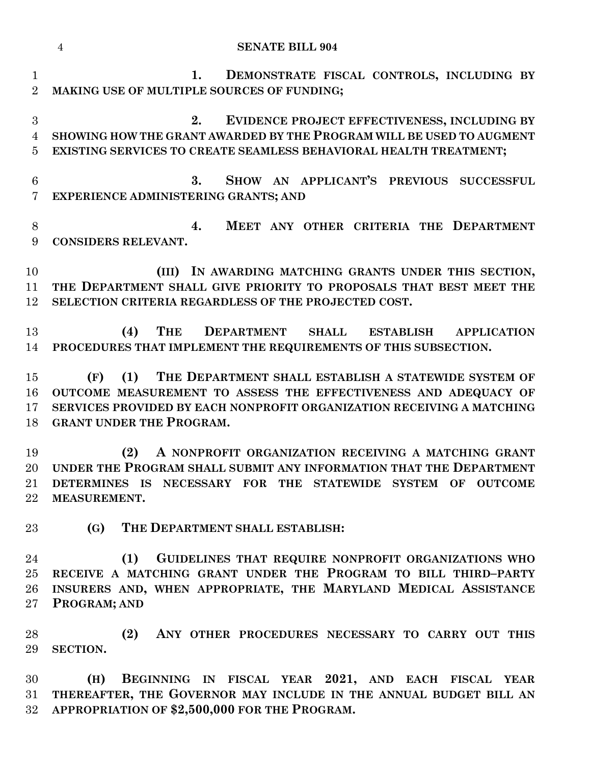|                                       | $\overline{4}$<br><b>SENATE BILL 904</b>                                                                                                                                                                                                       |
|---------------------------------------|------------------------------------------------------------------------------------------------------------------------------------------------------------------------------------------------------------------------------------------------|
| $\mathbf{1}$<br>$\overline{2}$        | DEMONSTRATE FISCAL CONTROLS, INCLUDING BY<br>1.<br>MAKING USE OF MULTIPLE SOURCES OF FUNDING;                                                                                                                                                  |
| 3<br>$\overline{4}$<br>$\overline{5}$ | EVIDENCE PROJECT EFFECTIVENESS, INCLUDING BY<br>2.<br>SHOWING HOW THE GRANT AWARDED BY THE PROGRAM WILL BE USED TO AUGMENT<br>EXISTING SERVICES TO CREATE SEAMLESS BEHAVIORAL HEALTH TREATMENT;                                                |
| 6<br>$\overline{7}$                   | SHOW AN APPLICANT'S PREVIOUS SUCCESSFUL<br>3.<br>EXPERIENCE ADMINISTERING GRANTS; AND                                                                                                                                                          |
| $8\,$<br>9                            | MEET ANY OTHER CRITERIA THE DEPARTMENT<br>4.<br>CONSIDERS RELEVANT.                                                                                                                                                                            |
| 10<br>11<br>12                        | (III) IN AWARDING MATCHING GRANTS UNDER THIS SECTION,<br>THE DEPARTMENT SHALL GIVE PRIORITY TO PROPOSALS THAT BEST MEET THE<br>SELECTION CRITERIA REGARDLESS OF THE PROJECTED COST.                                                            |
| 13<br>14                              | DEPARTMENT SHALL ESTABLISH APPLICATION<br>THE<br>(4)<br>PROCEDURES THAT IMPLEMENT THE REQUIREMENTS OF THIS SUBSECTION.                                                                                                                         |
| 15<br>16<br>17<br>18                  | (1) THE DEPARTMENT SHALL ESTABLISH A STATEWIDE SYSTEM OF<br>(F)<br>OUTCOME MEASUREMENT TO ASSESS THE EFFECTIVENESS AND ADEQUACY OF<br>SERVICES PROVIDED BY EACH NONPROFIT ORGANIZATION RECEIVING A MATCHING<br><b>GRANT UNDER THE PROGRAM.</b> |
| 19<br>$21\,$<br>$22\,$                | A NONPROFIT ORGANIZATION RECEIVING A MATCHING GRANT<br>(2)<br>20 UNDER THE PROGRAM SHALL SUBMIT ANY INFORMATION THAT THE DEPARTMENT<br>DETERMINES IS NECESSARY FOR THE STATEWIDE SYSTEM OF OUTCOME<br>MEASUREMENT.                             |
| $23\,$                                | (G)<br>THE DEPARTMENT SHALL ESTABLISH:                                                                                                                                                                                                         |
| 24<br>$25\,$<br>26<br>$27\,$          | (1)<br>GUIDELINES THAT REQUIRE NONPROFIT ORGANIZATIONS WHO<br>RECEIVE A MATCHING GRANT UNDER THE PROGRAM TO BILL THIRD-PARTY<br>INSURERS AND, WHEN APPROPRIATE, THE MARYLAND MEDICAL ASSISTANCE<br>PROGRAM; AND                                |
| 28<br>29                              | (2)<br>ANY OTHER PROCEDURES NECESSARY TO CARRY OUT THIS<br><b>SECTION.</b>                                                                                                                                                                     |
| 30<br>31<br>$32\,$                    | BEGINNING IN FISCAL YEAR 2021, AND EACH FISCAL YEAR<br>(H)<br>THEREAFTER, THE GOVERNOR MAY INCLUDE IN THE ANNUAL BUDGET BILL AN<br>APPROPRIATION OF \$2,500,000 FOR THE PROGRAM.                                                               |